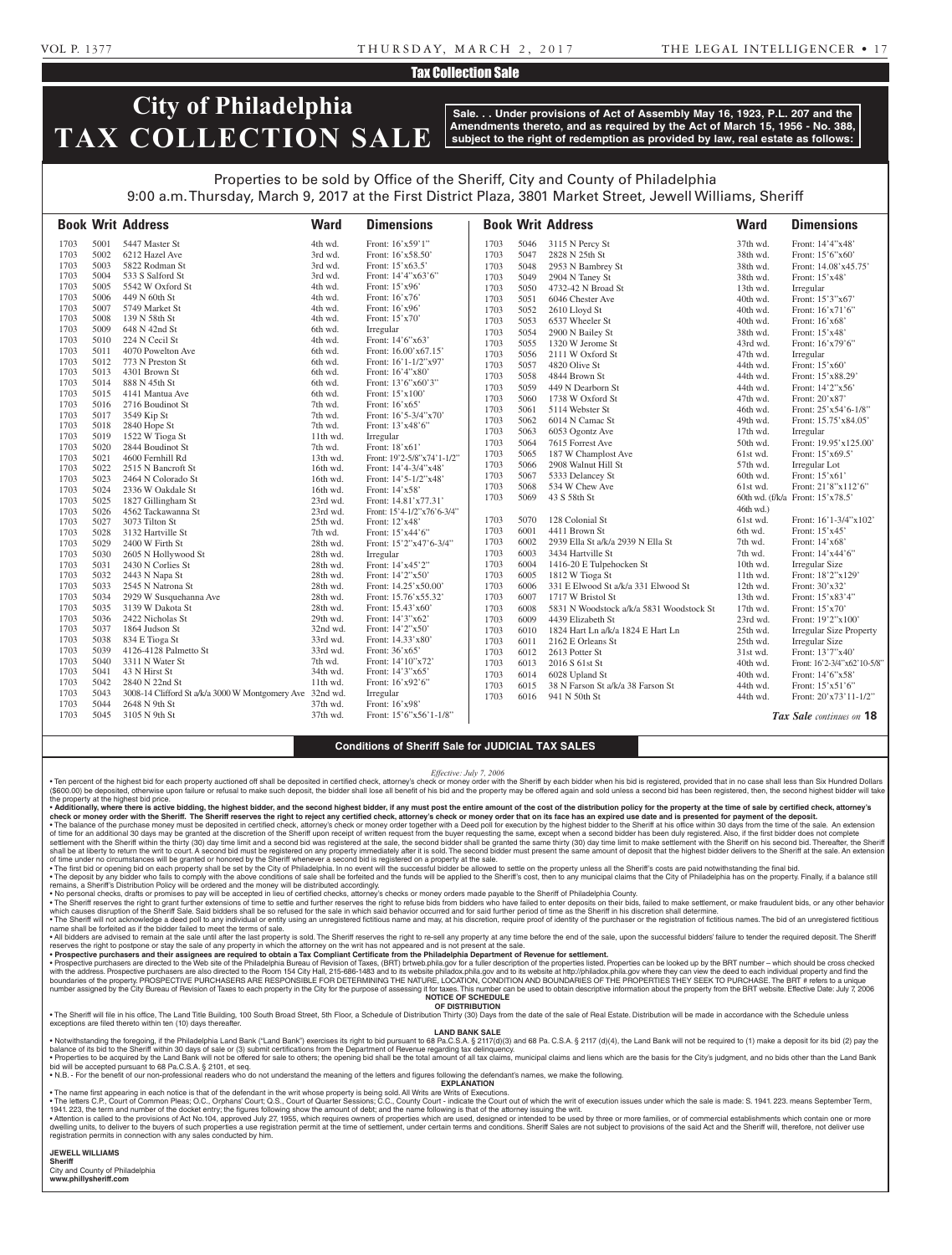## VOL P. 1377 T H U R S DAY, M A R C H 2 , 2 0 1 7 THE LEGAL INTELLIGENCER • 1 7

## Tax Collection Sale

# **City of Philadelphia TAX COLLECTION SALE**

**Sale. . . Under provisions of Act of Assembly May 16, 1923, P.L. 207 and the Amendments thereto, and as required by the Act of March 15, 1956 - No. 388, subject to the right of redemption as provided by law, real estate as follows:**

# Properties to be sold by Office of the Sheriff, City and County of Philadelphia 9:00 a.m. Thursday, March 9, 2017 at the First District Plaza, 3801 Market Street, Jewell Williams, Sheriff

|              |              | <b>Book Writ Address</b>                                         | <b>Ward</b>          | <b>Dimensions</b>                   |      |      | <b>Book Writ Address</b>                 | <b>Ward</b> | <b>Dimensions</b>                |
|--------------|--------------|------------------------------------------------------------------|----------------------|-------------------------------------|------|------|------------------------------------------|-------------|----------------------------------|
| 1703         | 5001         | 5447 Master St                                                   | 4th wd.              | Front: 16'x59'1"                    | 1703 | 5046 | 3115 N Percy St                          | 37th wd.    | Front: 14'4"x48'                 |
| 1703         | 5002         | 6212 Hazel Ave                                                   | 3rd wd.              | Front: 16'x58.50'                   | 1703 | 5047 | 2828 N 25th St                           | 38th wd.    | Front: 15'6"x60"                 |
| 1703         | 5003         | 5822 Rodman St                                                   | 3rd wd.              | Front: 15'x63.5'                    | 1703 | 5048 | 2953 N Bambrey St                        | 38th wd.    | Front: 14.08'x45.75'             |
| 1703         | 5004         | 533 S Salford St                                                 | 3rd wd.              | Front: $14'4''x63'6''$              | 1703 | 5049 | 2904 N Taney St                          | 38th wd.    | Front: 15'x48'                   |
| 1703         | 5005         | 5542 W Oxford St                                                 | 4th wd.              | Front: 15'x96'                      | 1703 | 5050 | 4732-42 N Broad St                       | 13th wd.    | Irregular                        |
| 1703         | 5006         | 449 N 60th St                                                    | 4th wd.              | Front: 16'x76'                      | 1703 | 5051 | 6046 Chester Ave                         | 40th wd.    | Front: 15'3"x67'                 |
| 1703         | 5007         | 5749 Market St                                                   | 4th wd.              | Front: 16'x96'                      | 1703 | 5052 | 2610 Lloyd St                            | 40th wd.    | Front: 16'x71'6"                 |
| 1703         | 5008         | 139 N 58th St                                                    | 4th wd.              | Front: 15'x70'                      | 1703 | 5053 | 6537 Wheeler St                          | 40th wd.    | Front: 16'x68'                   |
| 1703         | 5009         | 648 N 42nd St                                                    | 6th wd.              | Irregular                           | 1703 | 5054 | 2900 N Bailey St                         | 38th wd.    | Front: 15'x48'                   |
| 1703         | 5010         | 224 N Cecil St                                                   | 4th wd.              | Front: 14'6"x63'                    | 1703 | 5055 | 1320 W Jerome St                         | 43rd wd.    | Front: 16'x79'6"                 |
| 1703         | 5011         | 4070 Powelton Ave                                                | 6th wd.              | Front: 16.00'x67.15'                | 1703 | 5056 | 2111 W Oxford St                         | 47th wd.    | Irregular                        |
| 1703         | 5012         | 773 N Preston St                                                 | 6th wd.              | Front: $16'1-1/2''x97'$             | 1703 | 5057 | 4820 Olive St                            | 44th wd.    | Front: 15'x60'                   |
| 1703         | 5013         | 4301 Brown St                                                    | 6th wd.              | Front: $16'4''x80'$                 | 1703 | 5058 | 4844 Brown St                            | 44th wd.    | Front: 15'x88.29'                |
| 1703         | 5014         | 888 N 45th St                                                    | 6th wd.              | Front: 13'6"x60'3"                  | 1703 | 5059 | 449 N Dearborn St                        | 44th wd.    | Front: 14'2"x56'                 |
| 1703         | 5015         | 4141 Mantua Ave                                                  | 6th wd.              | Front: 15'x100'                     | 1703 | 5060 | 1738 W Oxford St                         | 47th wd.    | Front: 20'x87'                   |
| 1703         | 5016         | 2716 Boudinot St                                                 | 7th wd.              | Front: 16'x65'                      | 1703 | 5061 | 5114 Webster St                          | 46th wd.    | Front: 25'x54'6-1/8"             |
| 1703         | 5017         | 3549 Kip St                                                      | 7th wd.              | Front: 16'5-3/4"x70"                | 1703 | 5062 | 6014 N Camac St                          | 49th wd.    | Front: 15.75'x84.05'             |
| 1703         | 5018         | 2840 Hope St                                                     | 7th wd.              | Front: 13'x48'6"                    | 1703 | 5063 | 6053 Ogontz Ave                          | 17th wd.    | Irregular                        |
| 1703         | 5019         | 1522 W Tioga St                                                  | 11th wd.             | Irregular                           | 1703 | 5064 | 7615 Forrest Ave                         | 50th wd.    | Front: 19.95'x125.00'            |
| 1703         | 5020         | 2844 Boudinot St                                                 | 7th wd.              | Front: 18'x61'                      | 1703 | 5065 | 187 W Champlost Ave                      | 61st wd.    | Front: 15'x69.5'                 |
| 1703         | 5021         | 4600 Fernhill Rd                                                 | 13th wd.             | Front: 19'2-5/8"x74'1-1/2"          | 1703 | 5066 | 2908 Walnut Hill St                      | 57th wd.    | Irregular Lot                    |
| 1703         | 5022         | 2515 N Bancroft St                                               | 16th wd.             | Front: 14'4-3/4"x48'                | 1703 | 5067 | 5333 Delancey St                         | 60th wd.    | Front: 15'x61'                   |
| 1703         | 5023         | 2464 N Colorado St                                               | 16th wd.             | Front: 14'5-1/2"x48"                | 1703 | 5068 | 534 W Chew Ave                           | 61st wd.    | Front: 21'8"x112'6"              |
| 1703         | 5024         | 2336 W Oakdale St                                                | 16th wd.             | Front: 14'x58'                      | 1703 | 5069 | 43 S 58th St                             |             | 60th wd. (f/k/a Front: 15'x78.5' |
| 1703         | 5025         | 1827 Gillingham St                                               | 23rd wd.             | Front: 14.81'x77.31'                |      |      |                                          |             |                                  |
| 1703         | 5026         | 4562 Tackawanna St                                               | 23rd wd.             | Front: 15'4-1/2"x76'6-3/4"          |      |      |                                          | $46th$ wd.) |                                  |
| 1703         | 5027         | 3073 Tilton St                                                   | 25th wd.             | Front: 12'x48'                      | 1703 | 5070 | 128 Colonial St                          | 61st wd.    | Front: 16'1-3/4"x102'            |
| 1703         | 5028         | 3132 Hartville St                                                | 7th wd.              | Front: 15'x44'6"                    | 1703 | 6001 | 4411 Brown St                            | 6th wd.     | Front: 15'x45'                   |
| 1703         | 5029         | 2400 W Firth St                                                  | 28th wd.             | Front: 15'2"x47'6-3/4"              | 1703 | 6002 | 2939 Ella St a/k/a 2939 N Ella St        | 7th wd.     | Front: 14'x68'                   |
| 1703         | 5030         | 2605 N Hollywood St                                              | 28th wd.             | Irregular                           | 1703 | 6003 | 3434 Hartville St                        | 7th wd.     | Front: 14'x44'6"                 |
| 1703         | 5031         | 2430 N Corlies St                                                | 28th wd.             | Front: 14'x45'2"                    | 1703 | 6004 | 1416-20 E Tulpehocken St                 | 10th wd.    | Irregular Size                   |
| 1703         | 5032         | 2443 N Napa St                                                   | 28th wd.             | Front: 14'2"x50"                    | 1703 | 6005 | 1812 W Tioga St                          | 11th wd.    | Front: 18'2"x129'                |
| 1703         | 5033         | 2545 N Natrona St                                                | 28th wd.             | Front: 14.25'x50.00'                | 1703 | 6006 | 331 E Elwood St a/k/a 331 Elwood St      | 12th wd.    | Front: 30'x32'                   |
| 1703         | 5034         | 2929 W Susquehanna Ave                                           | 28th wd.             | Front: 15.76'x55.32'                | 1703 | 6007 | 1717 W Bristol St                        | 13th wd.    | Front: 15'x83'4"                 |
| 1703         | 5035         | 3139 W Dakota St                                                 | 28th wd.             | Front: $15.43'x60'$                 | 1703 | 6008 | 5831 N Woodstock a/k/a 5831 Woodstock St | 17th wd.    | Front: 15'x70'                   |
| 1703         | 5036         | 2422 Nicholas St                                                 | 29th wd.             | Front: 14'3"x62'                    | 1703 | 6009 | 4439 Elizabeth St                        | 23rd wd.    | Front: 19'2"x100"                |
| 1703<br>1703 | 5037         | 1864 Judson St                                                   | 32nd wd.             | Front: 14'2"x50"                    | 1703 | 6010 | 1824 Hart Ln a/k/a 1824 E Hart Ln        | 25th wd.    | <b>Irregular Size Property</b>   |
| 1703         | 5038<br>5039 | 834 E Tioga St<br>4126-4128 Palmetto St                          | 33rd wd.<br>33rd wd. | Front: 14.33'x80'                   | 1703 | 6011 | 2162 E Orleans St                        | 25th wd.    | <b>Irregular Size</b>            |
| 1703         | 5040         | 3311 N Water St                                                  | 7th wd.              | Front: 36'x65'<br>Front: 14'10"x72' | 1703 | 6012 | 2613 Potter St                           | 31st wd.    | Front: 13'7"x40'                 |
| 1703         | 5041         | 43 N Hirst St                                                    | 34th wd.             | Front: 14'3"x65'                    | 1703 | 6013 | 2016 S 61st St                           | 40th wd.    | Front: 16'2-3/4"x62'10-5/8"      |
| 1703         | 5042         | 2840 N 22nd St                                                   | 11th wd.             | Front: 16'x92'6"                    | 1703 | 6014 | 6028 Upland St                           | 40th wd.    | Front: 14'6"x58'                 |
| 1703         | 5043         |                                                                  |                      |                                     | 1703 | 6015 | 38 N Farson St a/k/a 38 Farson St        | 44th wd.    | Front: 15'x51'6"                 |
| 1703         | 5044         | 3008-14 Clifford St a/k/a 3000 W Montgomery Ave<br>2648 N 9th St | 32nd wd.<br>37th wd. | Irregular<br>Front: $16'x98'$       | 1703 | 6016 | 941 N 50th St                            | 44th wd.    | Front: 20'x73'11-1/2"            |
| 1703         | 5045         | 3105 N 9th St                                                    | 37th wd.             | Front: 15'6"x56'1-1/8"              |      |      |                                          |             |                                  |
|              |              |                                                                  |                      |                                     |      |      |                                          |             | Tax Sale continues on 18         |

### **Conditions of Sheriff Sale for JUDICIAL TAX SALES**

#### *Effective: July 7, 2006*

Ten percent of the highest bid for each property auctioned off shall be deposited in certified check, attorney's check or money order with the Sheriff by each bidder when his bid is registered, provided that in no case sha (\$600.00) be deposited, otherwise upon failure or refusal to make such deposit, the bidder shall lose all benefit of his bid and the property may be offered again and sold unless a second bid has been registered, then, the

. Additionally, where there is active bidding, the highest bidder, and the second highest bidder, if any must post the entire amount of the cost of the distribution policy for the property at the time of sale by certified check or money order with the Sheriff. The Sheriff reserves the right to reject any certified check, attorney's check or money order that on its face has an expired use date and is presented for payment of the deposit. • The balance of the purchase money must be deposited in certified check, attorney's check or money order together with a Deed poll for execution by the highest bidder to the Sheriff at his office within 30 days from the t settlement with the Sheriff within the thirty (30) day time limit and a second bid was registered at the sale, the second bidder shall be granted the same thirty (30) day time limit to make settlement with the Sheriff on

. The deposit by any bidder who fails to comply with the above conditions of sale shall be forfeited and the funds will be applied to the Sheriff's cost, then to any municipal claims that the City of Philadelphia has on th remains, a Sheriff's Distribution Policy will be ordered and the money will be distributed accordingly.

• No personal checks, drafts or promises to pay will be accepted in lieu of certified checks, attorney's checks or money orders made payable to the Sheriff of Philadelphia County.<br>• The Sheriff reserves the right to grant which causes disruption of the Sheriff Sale. Said bidders shall be so refused for the sale in which said behavior occurred and for said further period of time as the Sheriff in his discretion shall determine. . The Sheriff will not acknowledge a deed poll to any individual or entity using an unregistered fictitious name and may, at his discretion, require proof of identity of the purchaser or the registration of fictitious name

name shall be forfeited as if the bidder failed to meet the terms of sale. . All bidders are advised to remain at the sale until after the last property is sold. The Sheriff reserves the right to re-sell any property at any time before the end of the sale, upon the successful bidders' failure to

reserves the right to postpone or stay the sale of any property in which the attorney on the writ has not appeared and is not present at the sale.<br>• Prospective purchasers and their assignees are required to obtain a Tax

with the address. Prospective purchasers are also directed to the Room 154 City Hall, 215-686-1483 and to its website philadox.phila.gov and to its website at http://philadox.phila.gov where they can view the deed to each number assigned by the City Bureau of Revision of Taxes to each property in the City for the purpose of assessing it for taxes. This number can be used to obtain descriptive information about the property from the BRT webs

#### **OF DISTRIBUTION**

. The Sheriff will file in his office, The Land Title Building, 100 South Broad Street, 5th Floor, a Schedule of Distribution Thirty (30) Days from the date of the sale of Real Estate. Distribution will be made in accordan exceptions are filed thereto within ten (10) days thereafter.

# **LAND BANK SALE**

• Notwithstanding the foregoing, if the Philadelphia Land Bank ("Land Bank") exercises its right to bid pursuant to 68 Pa.C.S.A. § 2117(d)(3) and 68 Pa.C.S.A. § 2117 (d)(4), the Land Bank will not be required to (1) make a · Properties to be acquired by the Land Bank will not be offered for sale to others; the opening bid shall be the total amount of all tax claims, municipal claims and liens which are the basis for the City's judgment, and

will be accepted pursuant to 68 Pa.C.S.A. § 2101, et seq. • N.B. - For the benefit of our non-professional readers who do not understand the meaning of the letters and figures following the defendant's names, we make the following.

**EXPLANATION** 

• The name first appearing in each notice is that of the defendant in the writ whose property is being sold. All Writs are Writs of Executions.

. The letters C.P., Court of Common Pleas; O.C., Orphans' Court; Q.S., Court of Quarter Sessions; C.C., County Court - indicate the Court out of which the writ of execution issues under which the sale is made: S. 1941. 223 1941. 223, the term and number of the docket entry; the figures following show the amount of debt; and the name following is that of the attorney issuing the writ.<br>• Attention is called to the provisions of Act No.104, app

registration permits in connection with any sales conducted by him.

**JEWELL WILLIAMS** 

**Sheriff** 

City and County of Philadelphia **www.phillysheriff.com**